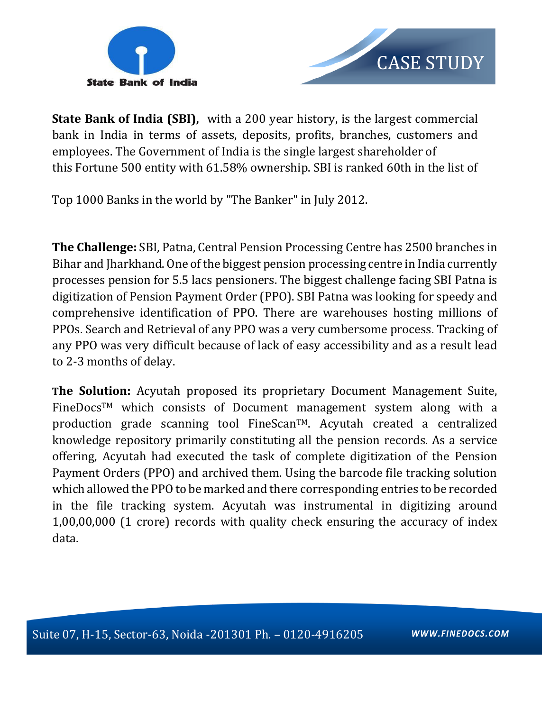



**State Bank of India (SBI),** with a 200 year history, is the largest commercial bank in India in terms of assets, deposits, profits, branches, customers and employees. The Government of India is the single largest shareholder of this Fortune 500 entity with 61.58% ownership. SBI is ranked 60th in the list of

Top 1000 Banks in the world by "The Banker" in July 2012.

**The Challenge:** SBI, Patna, Central Pension Processing Centre has 2500 branches in Bihar and Jharkhand. One of the biggest pension processing centre in India currently processes pension for 5.5 lacs pensioners. The biggest challenge facing SBI Patna is digitization of Pension Payment Order (PPO). SBI Patna was looking for speedy and comprehensive identification of PPO. There are warehouses hosting millions of PPOs. Search and Retrieval of any PPO was a very cumbersome process. Tracking of any PPO was very difficult because of lack of easy accessibility and as a result lead to 2-3 months of delay.

**The Solution:** Acyutah proposed its proprietary Document Management Suite, FineDocsTM which consists of Document management system along with a production grade scanning tool FineScan<sup>TM</sup>. Acyutah created a centralized knowledge repository primarily constituting all the pension records. As a service offering, Acyutah had executed the task of complete digitization of the Pension Payment Orders (PPO) and archived them. Using the barcode file tracking solution which allowed the PPO to be marked and there corresponding entries to be recorded in the file tracking system. Acyutah was instrumental in digitizing around 1,00,00,000 (1 crore) records with quality check ensuring the accuracy of index data.